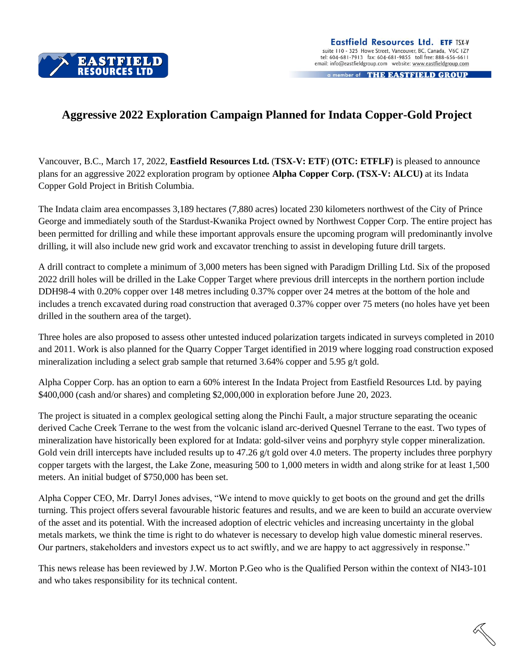

a member of THE EASTFIELD GROUP

## **Aggressive 2022 Exploration Campaign Planned for Indata Copper-Gold Project**

Vancouver, B.C., March 17, 2022, **Eastfield Resources Ltd.** (**TSX-V: ETF**) **(OTC: ETFLF)** is pleased to announce plans for an aggressive 2022 exploration program by optionee **Alpha Copper Corp. (TSX-V: ALCU)** at its Indata Copper Gold Project in British Columbia.

The Indata claim area encompasses 3,189 hectares (7,880 acres) located 230 kilometers northwest of the City of Prince George and immediately south of the Stardust-Kwanika Project owned by Northwest Copper Corp. The entire project has been permitted for drilling and while these important approvals ensure the upcoming program will predominantly involve drilling, it will also include new grid work and excavator trenching to assist in developing future drill targets.

A drill contract to complete a minimum of 3,000 meters has been signed with Paradigm Drilling Ltd. Six of the proposed 2022 drill holes will be drilled in the Lake Copper Target where previous drill intercepts in the northern portion include DDH98-4 with 0.20% copper over 148 metres including 0.37% copper over 24 metres at the bottom of the hole and includes a trench excavated during road construction that averaged 0.37% copper over 75 meters (no holes have yet been drilled in the southern area of the target).

Three holes are also proposed to assess other untested induced polarization targets indicated in surveys completed in 2010 and 2011. Work is also planned for the Quarry Copper Target identified in 2019 where logging road construction exposed mineralization including a select grab sample that returned 3.64% copper and 5.95 g/t gold.

Alpha Copper Corp. has an option to earn a 60% interest In the Indata Project from Eastfield Resources Ltd. by paying \$400,000 (cash and/or shares) and completing \$2,000,000 in exploration before June 20, 2023.

The project is situated in a complex geological setting along the Pinchi Fault, a major structure separating the oceanic derived Cache Creek Terrane to the west from the volcanic island arc-derived Quesnel Terrane to the east. Two types of mineralization have historically been explored for at Indata: gold-silver veins and porphyry style copper mineralization. Gold vein drill intercepts have included results up to 47.26  $g/t$  gold over 4.0 meters. The property includes three porphyry copper targets with the largest, the Lake Zone, measuring 500 to 1,000 meters in width and along strike for at least 1,500 meters. An initial budget of \$750,000 has been set.

Alpha Copper CEO, Mr. Darryl Jones advises, "We intend to move quickly to get boots on the ground and get the drills turning. This project offers several favourable historic features and results, and we are keen to build an accurate overview of the asset and its potential. With the increased adoption of electric vehicles and increasing uncertainty in the global metals markets, we think the time is right to do whatever is necessary to develop high value domestic mineral reserves. Our partners, stakeholders and investors expect us to act swiftly, and we are happy to act aggressively in response."

This news release has been reviewed by J.W. Morton P.Geo who is the Qualified Person within the context of NI43-101 and who takes responsibility for its technical content.